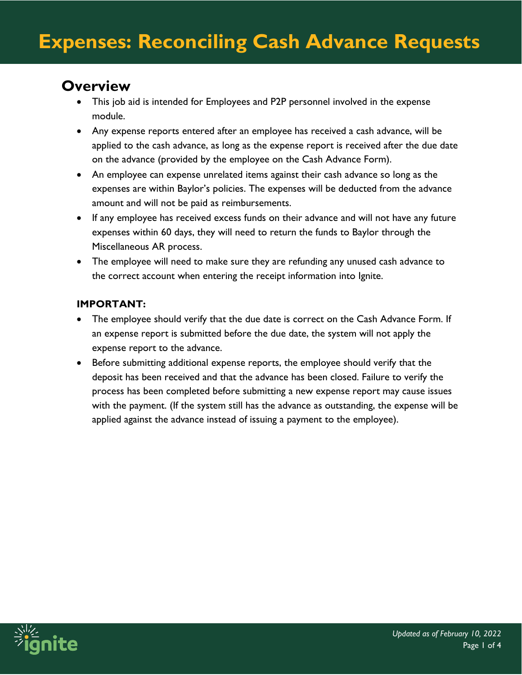## **Overview**

- This job aid is intended for Employees and P2P personnel involved in the expense module.
- Any expense reports entered after an employee has received a cash advance, will be applied to the cash advance, as long as the expense report is received after the due date on the advance (provided by the employee on the Cash Advance Form).
- An employee can expense unrelated items against their cash advance so long as the expenses are within Baylor's policies. The expenses will be deducted from the advance amount and will not be paid as reimbursements.
- If any employee has received excess funds on their advance and will not have any future expenses within 60 days, they will need to return the funds to Baylor through the Miscellaneous AR process.
- The employee will need to make sure they are refunding any unused cash advance to the correct account when entering the receipt information into Ignite.

#### **IMPORTANT:**

- The employee should verify that the due date is correct on the Cash Advance Form. If an expense report is submitted before the due date, the system will not apply the expense report to the advance.
- Before submitting additional expense reports, the employee should verify that the deposit has been received and that the advance has been closed. Failure to verify the process has been completed before submitting a new expense report may cause issues with the payment. (If the system still has the advance as outstanding, the expense will be applied against the advance instead of issuing a payment to the employee).

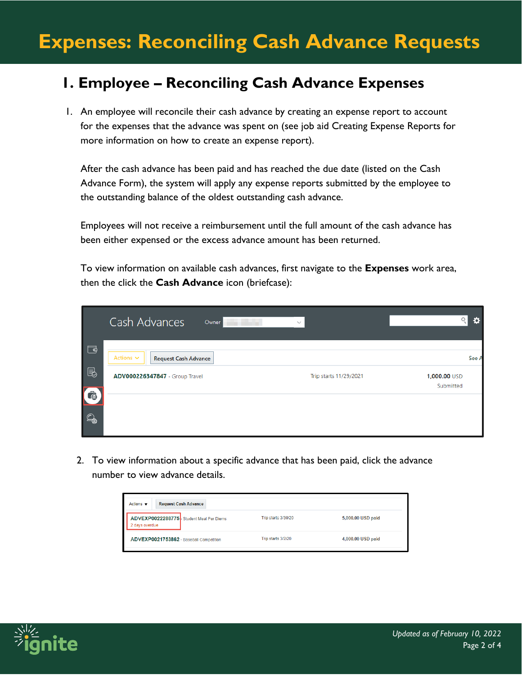# **Expenses: Reconciling Cash Advance Requests**

## **1. Employee – Reconciling Cash Advance Expenses**

1. An employee will reconcile their cash advance by creating an expense report to account for the expenses that the advance was spent on (see job aid Creating Expense Reports for more information on how to create an expense report).

After the cash advance has been paid and has reached the due date (listed on the Cash Advance Form), the system will apply any expense reports submitted by the employee to the outstanding balance of the oldest outstanding cash advance.

Employees will not receive a reimbursement until the full amount of the cash advance has been either expensed or the excess advance amount has been returned.

To view information on available cash advances, first navigate to the **Expenses** work area, then the click the **Cash Advance** icon (briefcase):

|                   | Cash Advances<br>Owner                        | $\checkmark$           | ≎                         |
|-------------------|-----------------------------------------------|------------------------|---------------------------|
| $\Box$            | Actions $\sim$<br><b>Request Cash Advance</b> |                        | See A                     |
| $\blacksquare$    | ADV000226347847 - Group Travel                | Trip starts 11/29/2021 | 1,000.00 USD<br>Submitted |
| Ġ<br>$\mathbb{Q}$ |                                               |                        |                           |

2. To view information about a specific advance that has been paid, click the advance number to view advance details.

| <b>Request Cash Advance</b><br>Actions $\blacktriangledown$ |                     |                   |  |  |
|-------------------------------------------------------------|---------------------|-------------------|--|--|
| ADVEXP0022288775 Student Meal Per Diems<br>2 days overdue   | Trip starts 3/30/20 | 5,000.00 USD paid |  |  |
| ADVEXP0021753862 - Baseball Competition                     | Trip starts 3/2/20  | 4,000.00 USD paid |  |  |

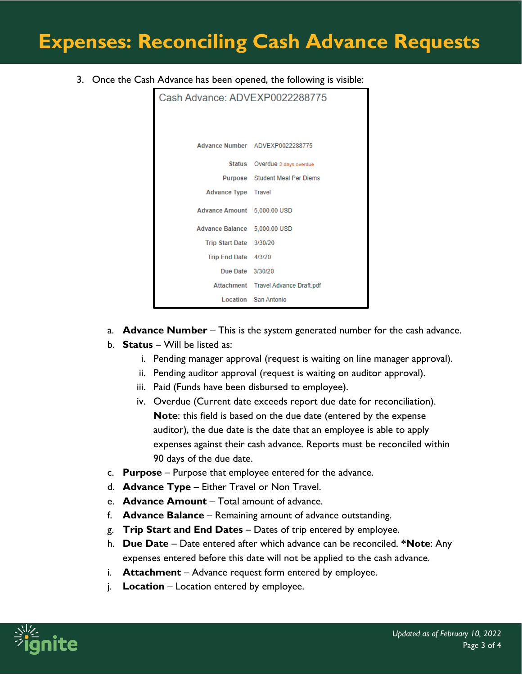## **Expenses: Reconciling Cash Advance Requests**

3. Once the Cash Advance has been opened, the following is visible:

| Cash Advance: ADVEXP0022288775 |                                     |  |  |
|--------------------------------|-------------------------------------|--|--|
|                                |                                     |  |  |
|                                | Advance Number ADVEXP0022288775     |  |  |
|                                | Status Overdue 2 days overdue       |  |  |
|                                | Purpose Student Meal Per Diems      |  |  |
| <b>Advance Type Travel</b>     |                                     |  |  |
| Advance Amount 5,000.00 USD    |                                     |  |  |
| Advance Balance 5,000.00 USD   |                                     |  |  |
| Trip Start Date 3/30/20        |                                     |  |  |
| Trip End Date 4/3/20           |                                     |  |  |
| Due Date 3/30/20               |                                     |  |  |
|                                | Attachment Travel Advance Draft.pdf |  |  |
|                                | Location San Antonio                |  |  |

- a. **Advance Number** This is the system generated number for the cash advance.
- b. **Status** Will be listed as:
	- i. Pending manager approval (request is waiting on line manager approval).
	- ii. Pending auditor approval (request is waiting on auditor approval).
	- iii. Paid (Funds have been disbursed to employee).
	- iv. Overdue (Current date exceeds report due date for reconciliation). **Note**: this field is based on the due date (entered by the expense auditor), the due date is the date that an employee is able to apply expenses against their cash advance. Reports must be reconciled within 90 days of the due date.
- c. **Purpose** Purpose that employee entered for the advance.
- d. **Advance Type** Either Travel or Non Travel.
- e. **Advance Amount** Total amount of advance.
- f. **Advance Balance** Remaining amount of advance outstanding.
- g. **Trip Start and End Dates** Dates of trip entered by employee.
- h. **Due Date** Date entered after which advance can be reconciled. **\*Note**: Any expenses entered before this date will not be applied to the cash advance.
- i. **Attachment** Advance request form entered by employee.
- j. **Location** Location entered by employee.